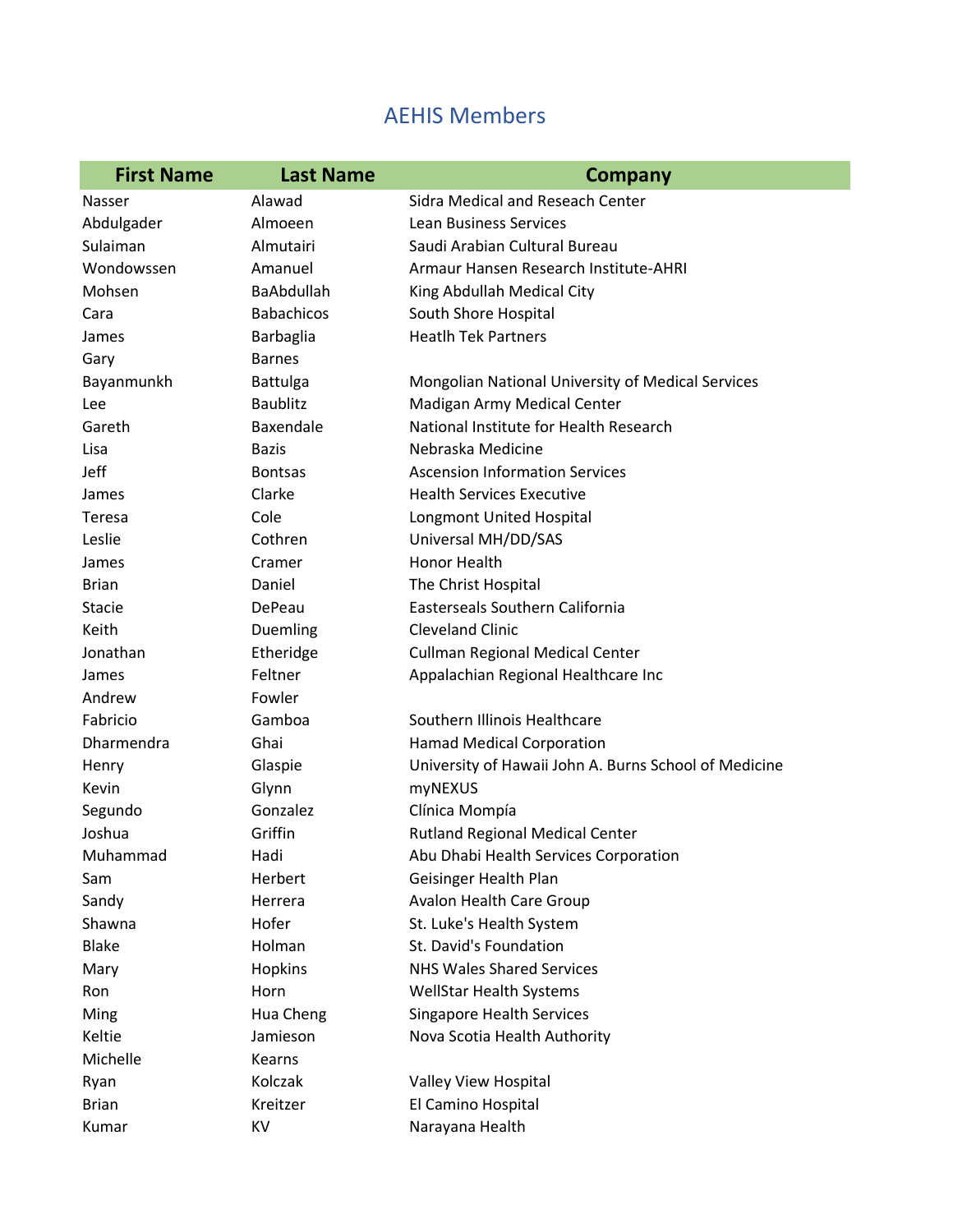## AEHIS Members

| <b>First Name</b> | <b>Last Name</b>  | <b>Company</b>                                        |
|-------------------|-------------------|-------------------------------------------------------|
| Nasser            | Alawad            | Sidra Medical and Reseach Center                      |
| Abdulgader        | Almoeen           | <b>Lean Business Services</b>                         |
| Sulaiman          | Almutairi         | Saudi Arabian Cultural Bureau                         |
| Wondowssen        | Amanuel           | Armaur Hansen Research Institute-AHRI                 |
| Mohsen            | <b>BaAbdullah</b> | King Abdullah Medical City                            |
| Cara              | <b>Babachicos</b> | South Shore Hospital                                  |
| James             | Barbaglia         | <b>Heatlh Tek Partners</b>                            |
| Gary              | <b>Barnes</b>     |                                                       |
| Bayanmunkh        | <b>Battulga</b>   | Mongolian National University of Medical Services     |
| Lee               | <b>Baublitz</b>   | Madigan Army Medical Center                           |
| Gareth            | Baxendale         | National Institute for Health Research                |
| Lisa              | <b>Bazis</b>      | Nebraska Medicine                                     |
| Jeff              | <b>Bontsas</b>    | <b>Ascension Information Services</b>                 |
| James             | Clarke            | <b>Health Services Executive</b>                      |
| Teresa            | Cole              | Longmont United Hospital                              |
| Leslie            | Cothren           | Universal MH/DD/SAS                                   |
| James             | Cramer            | <b>Honor Health</b>                                   |
| <b>Brian</b>      | Daniel            | The Christ Hospital                                   |
| Stacie            | DePeau            | <b>Easterseals Southern California</b>                |
| Keith             | Duemling          | <b>Cleveland Clinic</b>                               |
| Jonathan          | Etheridge         | Cullman Regional Medical Center                       |
| James             | Feltner           | Appalachian Regional Healthcare Inc                   |
| Andrew            | Fowler            |                                                       |
| Fabricio          | Gamboa            | Southern Illinois Healthcare                          |
| Dharmendra        | Ghai              | <b>Hamad Medical Corporation</b>                      |
| Henry             | Glaspie           | University of Hawaii John A. Burns School of Medicine |
| Kevin             | Glynn             | myNEXUS                                               |
| Segundo           | Gonzalez          | Clínica Mompía                                        |
| Joshua            | Griffin           | <b>Rutland Regional Medical Center</b>                |
| Muhammad          | Hadi              | Abu Dhabi Health Services Corporation                 |
| Sam               | Herbert           | Geisinger Health Plan                                 |
| Sandy             | Herrera           | Avalon Health Care Group                              |
| Shawna            | Hofer             | St. Luke's Health System                              |
| <b>Blake</b>      | Holman            | St. David's Foundation                                |
| Mary              | Hopkins           | <b>NHS Wales Shared Services</b>                      |
| Ron               | Horn              | <b>WellStar Health Systems</b>                        |
| Ming              | Hua Cheng         | <b>Singapore Health Services</b>                      |
| Keltie            | Jamieson          | Nova Scotia Health Authority                          |
| Michelle          | Kearns            |                                                       |
| Ryan              | Kolczak           | Valley View Hospital                                  |
| <b>Brian</b>      | Kreitzer          | El Camino Hospital                                    |
| Kumar             | KV                | Narayana Health                                       |